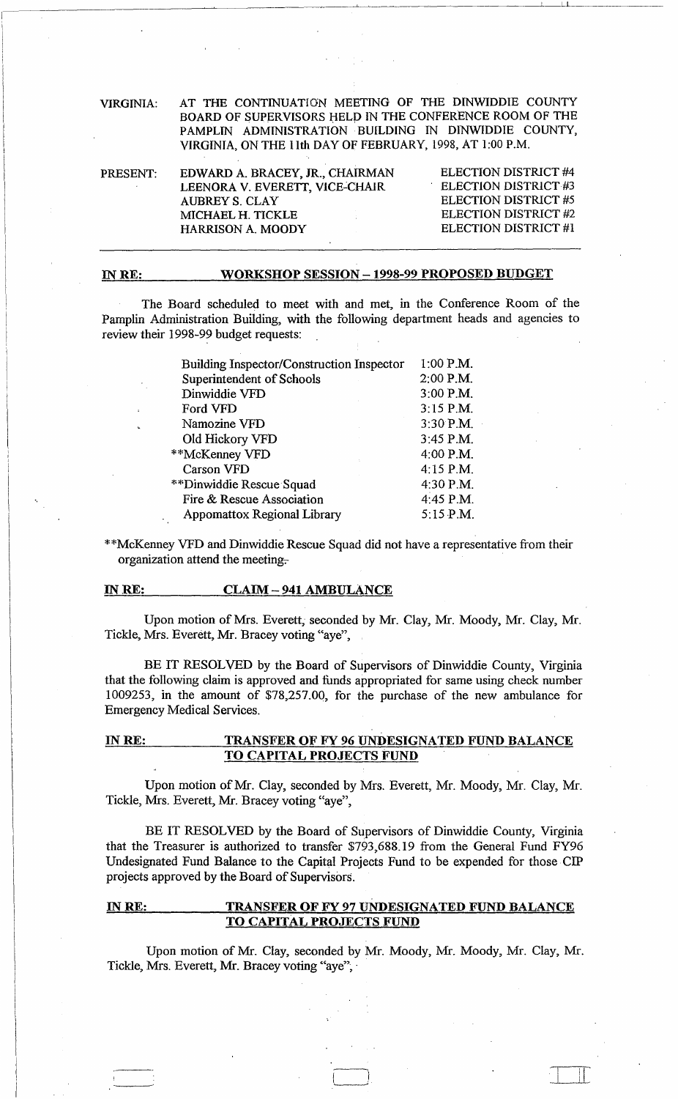VIRGINIA: AT THE CONTINUATION MEETING OF THE DINWIDDIE COUNTY BOARD OF SUPERVISORS HELD IN THE CONFERENCE ROOM OF THE PAMPLIN ADMINISTRATION BUILDING IN DINWIDDIE COUNTY, VIRGINIA, ON THE lIth DAY OF FEBRUARY, 1998, AT 1:00 P.M.

 $-$ 

| PRESENT: | EDWARD A. BRACEY, JR., CHAIRMAN                        | ELECTION DISTRICT #4        |
|----------|--------------------------------------------------------|-----------------------------|
|          | LEENORA V. EVERETT, VICE-CHAIR                         | <b>ELECTION DISTRICT #3</b> |
|          | AUBREY S. CLAY                                         | <b>ELECTION DISTRICT #5</b> |
|          | MICHAEL H. TICKLE<br><b>Contract Contract Contract</b> | ELECTION DISTRICT #2        |
|          | <b>HARRISON A. MOODY</b>                               | <b>ELECTION DISTRICT #1</b> |
|          |                                                        |                             |

#### INRE: WORKSHOP SESSION - 1998-99 PROPOSED BUDGET

The Board scheduled to meet with and met, in the Conference Room of the Pamplin Administration Building, with the tollowing department heads and agencies to review their 1998-99 budget requests:

| $1:00$ P.M. |
|-------------|
| 2:00 P.M.   |
| $3:00$ P.M. |
| 3:15 P.M.   |
| 3:30 P.M.   |
| $3:45$ P.M. |
| 4:00 P.M.   |
| $4:15$ P.M. |
| 4:30 P.M.   |
| 4:45 P.M.   |
| $5:15$ P.M. |
|             |

\*\*McKenney VFD and Dinwiddie Rescue Squad did not have a representative from their organization attend the meeting~-

#### INRE: CLAIM - 941 AMBULANCE

Upon motion of Mrs. Everett, seconded by Mr. Clay, Mr. Moody, Mr. Clay, Mr. Tickle, Mrs. Everett, Mr. Bracey voting "aye",

BE IT RESOLVED by the Board of Supervisors of Dinwiddie County, Virginia that the tollowing claim is approved and funds appropriated tor same using check number 1009253, in the amount of \$78,257.00, for the purchase of the new ambulance for Emergency Medical Services.

## ]NRE: TRANSFER OF FY 96 UNDESIGNA TED FUND BALANCE TO CAPITAL PROJECTS FUND

Upon motion of Mr. Clay, seconded by Mrs. Everett, Mr. Moody, Mr. Clay, Mr. Tickle, Mrs. Everett, Mr. Bracey voting "aye",

BE IT RESOLVED by the Board of Supervisors of Dinwiddie County, Virginia that the Treasurer is authorized to transfer \$793,688.19 from the General Fund FY96 Undesignated Fund Balance to the Capital Projects Fund to be expended for those CIP projects approved by the Board of Supervisors.

## IN RE: TRANSFER OF FY 97 UNDESIGNATED FUND BALANCE TO CAPITAL PROJECTS FUND

Upon motion of Mr. Clay, seconded by Mr. Moody, Mr. Moody, Mr. Clay, Mr. Tickle, Mrs. Everett, Mr. Bracey voting "aye",

 $\overline{\phantom{0}}$ 

 $\Box$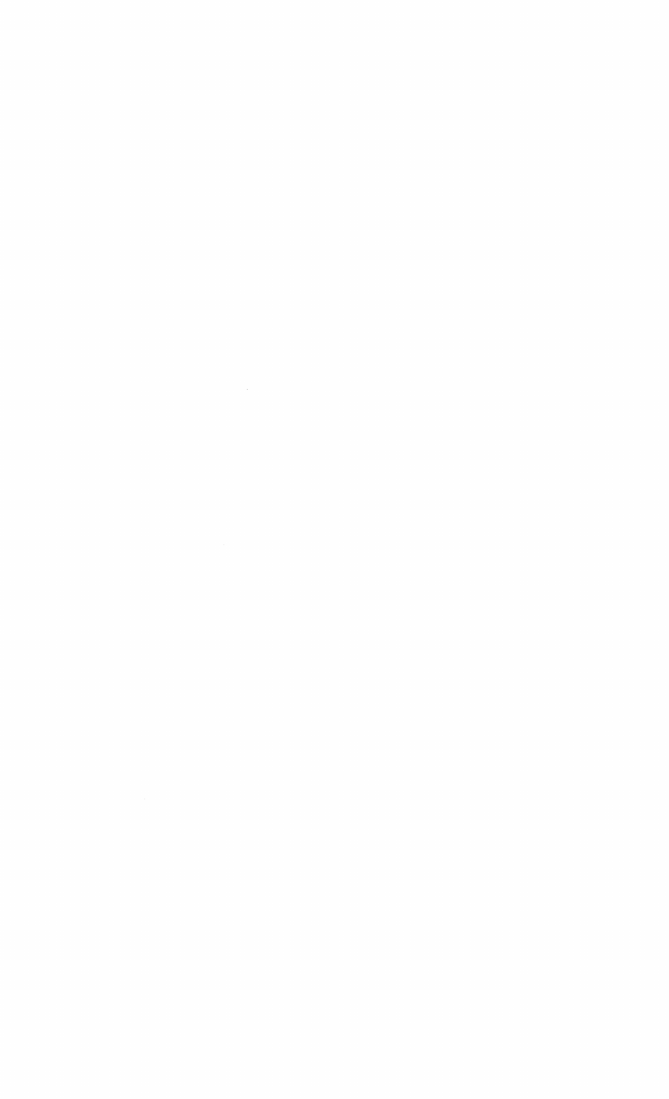$\label{eq:2.1} \frac{1}{\sqrt{2\pi}}\int_{0}^{\infty}\frac{1}{\sqrt{2\pi}}\left(\frac{1}{\sqrt{2\pi}}\right)^{2\alpha} \frac{1}{\sqrt{2\pi}}\int_{0}^{\infty}\frac{1}{\sqrt{2\pi}}\left(\frac{1}{\sqrt{2\pi}}\right)^{\alpha} \frac{1}{\sqrt{2\pi}}\frac{1}{\sqrt{2\pi}}\int_{0}^{\infty}\frac{1}{\sqrt{2\pi}}\frac{1}{\sqrt{2\pi}}\frac{1}{\sqrt{2\pi}}\frac{1}{\sqrt{2\pi}}\frac{1}{\sqrt{2\pi}}\frac{1}{\sqrt{2\$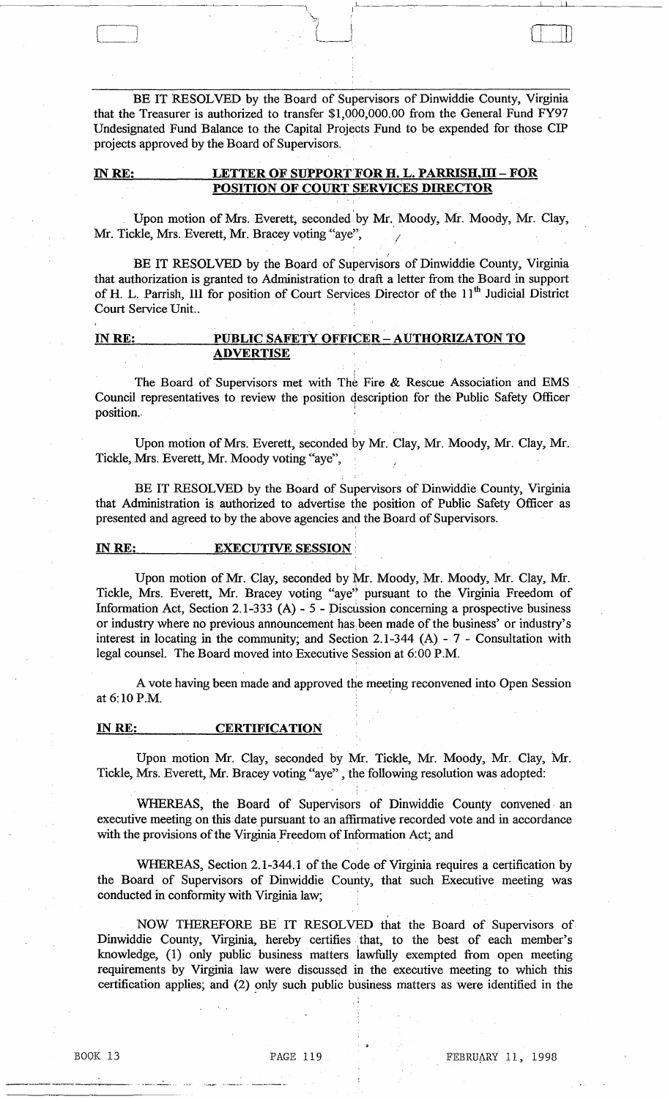BE IT RESOLVED by the Board of Supervisors of Dinwiddie County, Virginia that the Treasurer is authorized to transfer \$1,000,000.00 from the General Fund FY97 Undesignated Fund Balance to the Capital Projects Fund to be expended for those CIP projects approved by the Board of Supervisors.

 $\overline{\phantom{a}}$ 

 $\Box$ 

## INRE: LETTER OF SUPPORT FOR H. L. PARRISH,m - FOR POSITION OF COURT SERVICES DIRECTOR

Upon motion of Mrs. Everett, seconded' by Mr. Moody, Mr. Moody, Mr. Clay, Mr. Tickle, Mrs. Everett, Mr. Bracey voting "aye",

BE IT RESOLVED by the Board of Supervisors of Dinwiddie County, Virginia that authorization is granted to Administration to, draft a letter from the Board in support of H. L. Parrish, III for position of Court Services Director of the 11<sup>th</sup> Judicial District Court Service Unit..

## IN RE: PUBLIC SAFETY OFFICER - AUTHORIZATON TO ADVERTISE

The Board of Supervisors met with The Fire & Rescue Association and EMS Council representatives to review the position qescription for the Public Safety Officer position.. .

Upon motion of Mrs. Everett, seconded by Mr. Clay, Mr. Moody, Mr. Clay, Mr. Tickle, Mrs. Everett, Mr. Moody voting "aye", /

BE IT RESOLVED by the Board of Supervisors of Dinwiddie County, Virginia that Administration is authorized to advertise the position of Public Safety Officer as presented and agreed to by the above agencies and the Board of Supervisors.

I

## IN RE: EXECUTIVE SESSION

Upon motion of Mr. Clay, seconded by Mr. Moody, Mr. Moody, Mr. Clay, Mr. Tickle, Mrs. Everett, Mr. Bracey voting "aye'? pursuant to the Virginia Freedom of Information Act, Section 2.1-333 (A) - 5 - Discussion concerning a prospective business or industry where no previous announcement has been made of the business' or industry's interest in locating in the community; and Section 2.1-344 (A) - 7 - Consultation with legal counsel. The Board moved into Executive Session at 6:00 P.M.

A vote having been made and approved the meeting reconvened into Open Session at 6: 10 P.M. .

#### INRE: CERTIFICATION

Upon motion Mr. Clay, seconded by Mr. Tickle, Mr. Moody, Mr. Clay, Mr. Tickle, Mrs. Everett, Mr. Bracey voting "aye" , the following resolution was adopted:

WHEREAS, the Board of Supervisors of Dinwiddie County convened· an executive meeting on this date pursuant to an affirmative recorded vote and in accordance with the provisions of the Virginia Freedom of Information Act; and

WHEREAS, Section 2.1-344.1 of the Code of Virginia requires a certification by the Board of Supervisors of Dinwiddie County, that such Executive meeting was conducted in conformity with Virginia law;

NOW THEREFORE BE IT RESOLVED that the Board of Supervisors of· Dinwiddie County, Virginia, hereby certifies that, to the best of each member's knowledge, (1) only public business matters lawfully exempted from open meeting requirements by Virginia law were discussed in the executive meeting to which this certification applies; and (2) only such public business matters as were identified in the